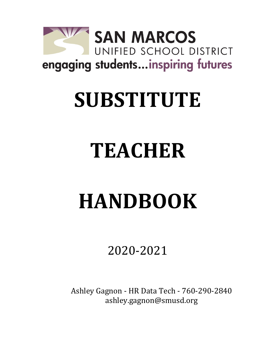

## **SUBSTITUTE**

# **TEACHER**

# **HANDBOOK**

### 2020-2021

Ashley Gagnon - HR Data Tech - 760-290-2840 ashley.gagnon@smusd.org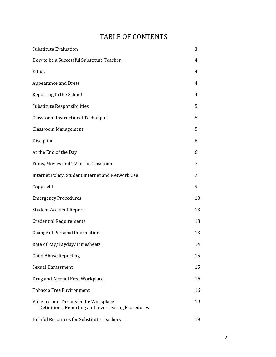### TABLE OF CONTENTS

| <b>Substitute Evaluation</b>                                                                 | 3  |
|----------------------------------------------------------------------------------------------|----|
| How to be a Successful Substitute Teacher                                                    | 4  |
| Ethics                                                                                       | 4  |
| <b>Appearance and Dress</b>                                                                  | 4  |
| Reporting to the School                                                                      | 4  |
| Substitute Responsibilities                                                                  | 5  |
| <b>Classroom Instructional Techniques</b>                                                    | 5  |
| <b>Classroom Management</b>                                                                  | 5  |
| Discipline                                                                                   | 6  |
| At the End of the Day                                                                        | 6  |
| Films, Movies and TV in the Classroom                                                        | 7  |
| Internet Policy, Student Internet and Network Use                                            | 7  |
| Copyright                                                                                    | 9  |
| <b>Emergency Procedures</b>                                                                  | 10 |
| <b>Student Accident Report</b>                                                               | 13 |
| <b>Credential Requirements</b>                                                               | 13 |
| <b>Change of Personal Information</b>                                                        | 13 |
| Rate of Pay/Payday/Timesheets                                                                | 14 |
| <b>Child Abuse Reporting</b>                                                                 | 15 |
| <b>Sexual Harassment</b>                                                                     | 15 |
| Drug and Alcohol Free Workplace                                                              | 16 |
| <b>Tobacco Free Environment</b>                                                              | 16 |
| Violence and Threats in the Workplace<br>Definitions, Reporting and Investigating Procedures | 19 |
| Helpful Resources for Substitute Teachers                                                    | 19 |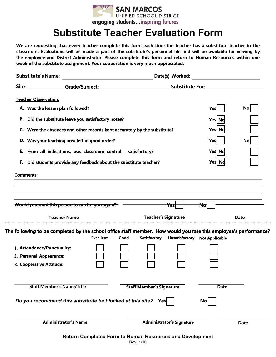

### **Substitute Teacher Evaluation Form**

**We are requesting that every teacher complete this form each time the teacher has a substitute teacher in the classroom. Evaluations will be made a part of the substitute's personnel file and will be available for viewing by the employee and District Administrator. Please complete this form and return to Human Resources within one week of the substitute assignment. Your cooperation is very much appreciated.**

| <b>Substitute's Name:</b>                                                                                                                                                                     | Date(s) Worked:                                                                                                                      |      |                                                   |                                  |                                      |             |
|-----------------------------------------------------------------------------------------------------------------------------------------------------------------------------------------------|--------------------------------------------------------------------------------------------------------------------------------------|------|---------------------------------------------------|----------------------------------|--------------------------------------|-------------|
| Site: Grade/Subject:                                                                                                                                                                          |                                                                                                                                      |      | <b>Substitute For: __________________________</b> |                                  |                                      |             |
| <b>Teacher Observation:</b>                                                                                                                                                                   |                                                                                                                                      |      |                                                   |                                  |                                      |             |
| A. Was the lesson plan followed?                                                                                                                                                              |                                                                                                                                      |      |                                                   |                                  | Yes                                  | No          |
| B. Did the substitute leave you satisfactory notes?                                                                                                                                           |                                                                                                                                      |      |                                                   |                                  | Yes No                               |             |
| C. Were the absences and other records kept accurately by the substitute?<br>D. Was your teaching area left in good order?<br>From all indications, was classroom control satisfactory?<br>Е. |                                                                                                                                      |      |                                                   |                                  |                                      |             |
|                                                                                                                                                                                               |                                                                                                                                      |      |                                                   |                                  |                                      | No          |
|                                                                                                                                                                                               |                                                                                                                                      |      |                                                   |                                  |                                      |             |
| F. Did students provide any feedback about the substitute teacher?                                                                                                                            |                                                                                                                                      |      |                                                   |                                  | Yes Nd                               |             |
| <b>Comments:</b>                                                                                                                                                                              |                                                                                                                                      |      |                                                   |                                  |                                      |             |
|                                                                                                                                                                                               | Would you want this person to sub for you again? -<br><b>Teacher Name</b>                                                            |      | <b>Teacher's Signature</b>                        | <del>Yesl</del>                  | Nol                                  | <b>Date</b> |
|                                                                                                                                                                                               | The following to be completed by the school office staff member. How would you rate this employee's performance?<br><b>Excellent</b> | Good | Satisfactory                                      |                                  |                                      |             |
| 1. Attendance/Punctuality:<br>2. Personal Appearance:                                                                                                                                         |                                                                                                                                      |      |                                                   |                                  | <b>Unsatisfactory Not Applicable</b> |             |
| 3. Cooperative Attitude:<br><b>Staff Member's Name/Title</b>                                                                                                                                  | Do you recommend this substitute be blocked at this site?                                                                            |      | <b>Staff Member's Signature</b><br>Yes            |                                  | <b>Date</b><br>$\mathsf{No}$         |             |
|                                                                                                                                                                                               | <b>Administrator's Name</b>                                                                                                          |      |                                                   | <b>Administrator's Signature</b> |                                      |             |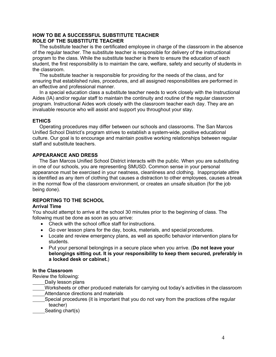#### **HOW TO BE A SUCCESSFUL SUBSTITUTE TEACHER ROLE OF THE SUBSTITUTE TEACHER**

The substitute teacher is the certificated employee in charge of the classroom in the absence of the regular teacher. The substitute teacher is responsible for delivery of the instructional program to the class. While the substitute teacher is there to ensure the education of each student, the first responsibility is to maintain the care, welfare, safety and security of students in the classroom.

The substitute teacher is responsible for providing for the needs of the class, and for ensuring that established rules, procedures, and all assigned responsibilities are performed in an effective and professional manner.

In a special education class a substitute teacher needs to work closely with the Instructional Aides (IA) and/or regular staff to maintain the continuity and routine of the regular classroom program. Instructional Aides work closely with the classroom teacher each day. They are an invaluable resource who will assist and support you throughout your stay.

#### **ETHICS**

Operating procedures may differ between our schools and classrooms. The San Marcos Unified School District's program strives to establish a system-wide, positive educational culture. Our goal is to encourage and maintain positive working relationships between regular staff and substitute teachers.

#### **APPEARANCE AND DRESS**

The San Marcos Unified School District interacts with the public. When you are substituting in one of our schools, you are representing SMUSD. Common sense in your personal appearance must be exercised in your neatness, cleanliness and clothing. Inappropriate attire is identified as any item of clothing that causes a distraction to other employees, causes a break in the normal flow of the classroom environment, or creates an unsafe situation (for the job being done).

#### **REPORTING TO THE SCHOOL**

#### **Arrival Time**

You should attempt to arrive at the school 30 minutes prior to the beginning of class. The following must be done as soon as you arrive:

- Check with the school office staff for instructions.
- Go over lesson plans for the day, books, materials, and special procedures.
- Locate and review emergency plans, as well as specific behavior intervention plans for students.
- Put your personal belongings in a secure place when you arrive. (**Do not leave your belongings sitting out. It is your responsibility to keep them secured, preferably in a locked desk or cabinet.**)

#### **In the Classroom**

Review the following:

Daily lesson plans

- Worksheets or other produced materials for carrying out today's activities in the classroom Attendance directions and materials
- Special procedures (it is important that you do not vary from the practices ofthe regular teacher)
- Seating chart(s)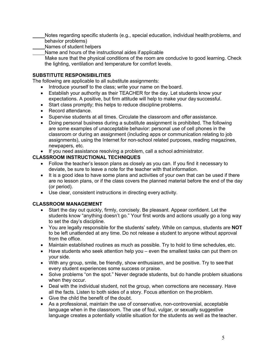Notes regarding specific students (e.g., special education, individual health problems, and behavior problems)

- Names of student helpers
- Name and hours of the instructional aides if applicable

Make sure that the physical conditions of the room are conducive to good learning. Check the lighting, ventilation and temperature for comfort levels.

#### **SUBSTITUTE RESPONSIBILITIES**

The following are applicable to all substitute assignments:

- Introduce yourself to the class; write your name on the board.
- Establish your authority as their TEACHER for the day. Let students know your expectations. A positive, but firm attitude will help to make your day successful.
- Start class promptly; this helps to reduce discipline problems.
- Record attendance.
- Supervise students at all times. Circulate the classroom and offer assistance.
- Doing personal business during a substitute assignment is prohibited. The following are some examples of unacceptable behavior: personal use of cell phones in the classroom or during an assignment (including apps or communication relating to job assignments), using the Internet for non-school related purposes, reading magazines, newpapers, etc.
- If you need assistance resolving a problem, call a school administrator.

#### **CLASSROOM INSTRUCTIONAL TECHNIQUES**

- Follow the teacher's lesson plans as closely as you can. If you find it necessary to deviate, be sure to leave a note for the teacher with that information.
- It is a good idea to have some plans and activities of your own that can be used if there are no lesson plans, or if the class covers the planned material before the end of the day (or period).
- Use clear, consistent instructions in directing every activity.

#### **CLASSROOM MANAGEMENT**

- Start the day out quickly, firmly, concisely. Be pleasant. Appear confident. Let the students know "anything doesn't go." Your first words and actions usually go a long way to set the day's discipline.
- You are legally responsible for the students' safety. While on campus, students are **NOT**  to be left unattended at any time. Do not release a student to anyone without approval from the office.
- Maintain established routines as much as possible. Try to hold to time schedules, etc.
- Have students who seek attention help you even the smallest tasks can put them on your side.
- With any group, smile, be friendly, show enthusiasm, and be positive. Try to see that every student experiences some success or praise.
- Solve problems "on the spot." Never degrade students, but do handle problem situations when they occur.
- Deal with the individual student, not the group, when corrections are necessary. Have all the facts. Listen to both sides of a story. Focus attention on the problem.
- Give the child the benefit of the doubt.
- As a professional, maintain the use of conservative, non-controversial, acceptable language when in the classroom. The use of foul, vulgar, or sexually suggestive language creates a potentially volatile situation for the students as well as the teacher.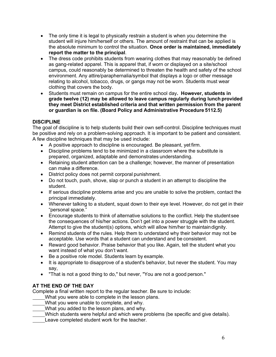- The only time it is legal to physically restrain a student is when you determine the student will injure him/herself or others. The amount of restraint that can be applied is the absolute minimum to control the situation. **Once order is maintained, immediately report the matter to the principal**.
- The dress code prohibits students from wearing clothes that may reasonably be defined as gang-related apparel. This is apparel that, if worn or displayed on a site/school campus, could reasonably be determined to threaten the health and safety of the school environment. Any attire/paraphernalia/symbol that displays a logo or other message relating to alcohol, tobacco, drugs, or gangs may not be worn. Students must wear clothing that covers the body.
- Students must remain on campus for the entire school day**. However, students in grade twelve (12) may be allowed to leave campus regularly during lunch provided they meet District established criteria and that written permission from the parent or guardian is on file. (Board Policy and Administrative Procedure 5112.5)**

#### **DISCIPLINE**

The goal of discipline is to help students build their own self-control. Discipline techniques must be positive and rely on a problem-solving approach. It is important to be patient and consistent. A few discipline techniques that may be used include:

- A positive approach to discipline is encouraged. Be pleasant, yet firm.
- Discipline problems tend to be minimized in a classroom where the substitute is prepared, organized, adaptable and demonstrates understanding.
- Retaining student attention can be a challenge; however, the manner of presentation can make a difference.
- District policy does not permit corporal punishment.
- Do not touch, push, shove, slap or punch a student in an attempt to discipline the student.
- If serious discipline problems arise and you are unable to solve the problem, contact the principal immediately.
- Whenever talking to a student, squat down to their eye level. However, do not get in their "personal space."
- Encourage students to think of alternative solutions to the conflict. Help the student see the consequences of his/her actions. Don't get into a power struggle with the student. Attempt to give the student(s) options, which will allow him/her to maintaindignity.
- Remind students of the rules. Help them to understand why their behavior may not be acceptable. Use words that a student can understand and be consistent.
- Reward good behavior. Praise behavior that you like. Again, tell the student what you want instead of what you don't want.
- Be a positive role model. Students learn by example.
- It is appropriate to disapprove of a student's behavior, but never the student. You may say,
- "That is not a good thing to do," but never, "You are not a good person."

#### **AT THE END OF THE DAY**

Complete a final written report to the regular teacher. Be sure to include:

- What you were able to complete in the lesson plans.
- What you were unable to complete, and why.
- What you added to the lesson plans, and why.
- Which students were helpful and which were problems (be specific and give details).
- Leave completed student work for the teacher.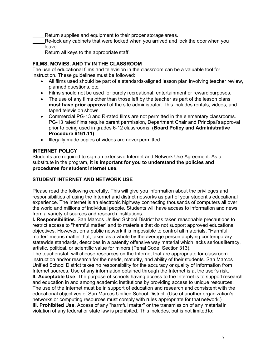Return supplies and equipment to their proper storage areas.

Re-lock any cabinets that were locked when you arrived and lock the door when you leave.

Return all keys to the appropriate staff.

#### **FILMS, MOVIES, AND TV IN THE CLASSROOM**

The use of educational films and television in the classroom can be a valuable tool for instruction. These guidelines must be followed:

- All films used should be part of a standards-aligned lesson plan involving teacher review, planned questions, etc.
- Films should not be used for purely recreational, entertainment or reward purposes.
- The use of any films other than those left by the teacher as part of the lesson plans **must have prior approval** of the site administrator. This includes rentals, videos, and taped television shows.
- Commercial PG-13 and R-rated films are not permitted in the elementary classrooms. PG-13 rated films require parent permission, Department Chair and Principal'sapproval prior to being used in grades 6-12 classrooms. (**Board Policy and Administrative Procedure 6161.11)**
- Illegally made copies of videos are never permitted.

#### **INTERNET POLICY**

Students are required to sign an extensive Internet and Network Use Agreement. As a substitute in the program, **it is important for you to understand the policies and procedures for student Internet use.**

#### **STUDENT INTERNET AND NETWORK USE**

Please read the following carefully. This will give you information about the privileges and responsibilities of using the Internet and district networks as part of your student's educational experience. The Internet is an electronic highway connecting thousands of computers all over the world and millions of individual people. Students will have access to information and news from a variety of sources and research institutions.

**I. Responsibilities**. San Marcos Unified School District has taken reasonable precautions to restrict access to "harmful matter" and to materials that do not support approved educational objectives. However, on a public network it is impossible to control all materials. "Harmful matter" means matter that, taken as a whole by the average person applying contemporary statewide standards, describes in a patently offensive way material which lacks seriousliteracy, artistic, political, or scientific value for minors (Penal Code, Section 313).

The teacher/staff will choose resources on the Internet that are appropriate for classroom instruction and/or research for the needs, maturity, and ability of their students. San Marcos Unified School District takes no responsibility for the accuracy or quality of information from Internet sources. Use of any information obtained through the Internet is at the user's risk.

**II. Acceptable Use**. The purpose of schools having access to the Internet is to supportresearch and education in and among academic institutions by providing access to unique resources. The use of the Internet must be in support of education and research and consistent with the educational objectives of San Marcos Unified School District. (Use of another organization's networks or computing resources must comply with rules appropriate for that network.) **III. Prohibited Use**. Access of any "harmful matter" or the transmission of any material in violation of any federal or state law is prohibited. This includes, but is not limitedto: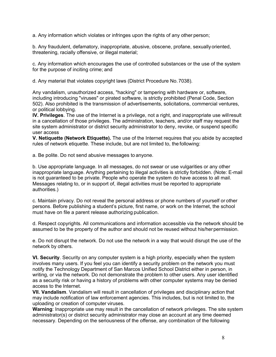a. Any information which violates or infringes upon the rights of any other person;

b. Any fraudulent, defamatory, inappropriate, abusive, obscene, profane, sexuallyoriented, threatening, racially offensive, or illegal material;

c. Any information which encourages the use of controlled substances or the use of the system for the purpose of inciting crime; and

d. Any material that violates copyright laws (District Procedure No.7038).

Any vandalism, unauthorized access, "hacking" or tampering with hardware or, software, including introducing "viruses" or pirated software, is strictly prohibited (Penal Code, Section 502). Also prohibited is the transmission of advertisements, solicitations, commercial ventures, or political lobbying.

**IV. Privileges**. The use of the Internet is a privilege, not a right, and inappropriate use willresult in a cancellation of those privileges. The administration, teachers, and/or staff may request the site system administrator or district security administrator to deny, revoke, or suspend specific user access

**V. Netiquette (Network Etiquette).** The use of the Internet requires that you abide by accepted rules of network etiquette. These include, but are not limited to, the following:

a. Be polite. Do not send abusive messages to anyone.

b. Use appropriate language. In all messages, do not swear or use vulgarities or any other inappropriate language. Anything pertaining to illegal activities is strictly forbidden. (Note: E-mail is not guaranteed to be private. People who operate the system do have access to all mail. Messages relating to, or in support of, illegal activities must be reported to appropriate authorities.)

c. Maintain privacy. Do not reveal the personal address or phone numbers of yourself or other persons. Before publishing a student's picture, first name, or work on the Internet, the school must have on file a parent release authorizing publication.

d. Respect copyrights. All communications and information accessible via the network should be assumed to be the property of the author and should not be reused without his/herpermission.

e. Do not disrupt the network. Do not use the network in a way that would disrupt the use of the network by others.

**VI. Security**. Security on any computer system is a high priority, especially when the system involves many users. If you feel you can identify a security problem on the network you must notify the Technology Department of San Marcos Unified School District either in person, in writing, or via the network. Do not demonstrate the problem to other users. Any user identified as a security risk or having a history of problems with other computer systems may be denied access to the Internet.

**VII. Vandalism**. Vandalism will result in cancellation of privileges and disciplinary action that may include notification of law enforcement agencies. This includes, but is not limited to, the uploading or creation of computer viruses.

**Warning**: Inappropriate use may result in the cancellation of network privileges. The site system administrator(s) or district security administrator may close an account at any time deemed necessary. Depending on the seriousness of the offense, any combination of the following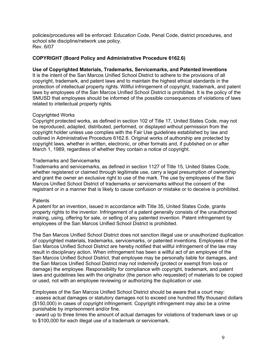policies/procedures will be enforced: Education Code, Penal Code, district procedures, and school site discipline/network use policy. Rev. 6/07

#### **COPYRIGHT (Board Policy and Administrative Procedure 6162.6)**

#### **Use of Copyrighted Materials, Trademarks, Servicemarks, and Patented Inventions**

It is the intent of the San Marcos Unified School District to adhere to the provisions of all copyright, trademark, and patent laws and to maintain the highest ethical standards in the protection of intellectual property rights. Willful infringement of copyright, trademark, and patent laws by employees of the San Marcos Unified School District is prohibited. It is the policy of the SMUSD that employees should be informed of the possible consequences of violations of laws related to intellectual property rights.

#### Copyrighted Works

Copyright protected works, as defined in section 102 of Title 17, United States Code, may not be reproduced, adapted, distributed, performed, or displayed without permission from the copyright holder unless use complies with the Fair Use guidelines established by law and outlined in Administrative Procedure 6162.6. Original works of authorship are protected by copyright laws, whether in written, electronic, or other formats and, if published on or after March 1, 1989, regardless of whether they contain a notice of copyright.

#### Trademarks and Servicemarks

Trademarks and servicemarks, as defined in section 1127 of Title 15, United States Code, whether registered or claimed through legitimate use, carry a legal presumption of ownership and grant the owner an exclusive right to use of the mark. The use by employees of the San Marcos Unified School District of trademarks or servicemarks without the consent of the registrant or in a manner that is likely to cause confusion or mistake or to deceive is prohibited.

#### **Patents**

A patent for an invention, issued in accordance with Title 35, United States Code, grants property rights to the inventor. Infringement of a patent generally consists of the unauthorized making, using, offering for sale, or selling of any patented invention. Patent infringement by employees of the San Marcos Unified School District is prohibited.

The San Marcos Unified School District does not sanction illegal use or unauthorized duplication of copyrighted materials, trademarks, servicemarks, or patented inventions. Employees of the San Marcos Unified School District are hereby notified that willful infringement of the law may result in disciplinary action. When infringement has been a willful act of an employee of the San Marcos Unified School District, that employee may be personally liable for damages, and the San Marcos Unified School District may not indemnify (protect or exempt from loss or damage) the employee. Responsibility for compliance with copyright, trademark, and patent laws and guidelines lies with the originator (the person who requested) of materials to be copied or used, not with an employee reviewing or authorizing the duplication or use.

Employees of the San Marcos Unified School District should be aware that a court may: · assess actual damages or statutory damages not to exceed one hundred fifty thousand dollars (\$150,000) in cases of copyright infringement. Copyright infringement may also be a crime punishable by imprisonment and/or fine.

· award up to three times the amount of actual damages for violations of trademark laws or up to \$100,000 for each illegal use of a trademark or servicemark.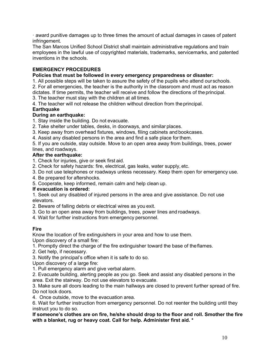· award punitive damages up to three times the amount of actual damages in cases of patent infringement.

The San Marcos Unified School District shall maintain administrative regulations and train employees in the lawful use of copyrighted materials, trademarks, servicemarks, and patented inventions in the schools.

#### **EMERGENCY PROCEDURES**

#### **Policies that must be followed in every emergency preparedness or disaster:**

1. All possible steps will be taken to assure the safety of the pupils who attend ourschools.

2. For all emergencies, the teacher is the authority in the classroom and must act as reason dictates. If time permits, the teacher will receive and follow the directions of theprincipal.

- 3. The teacher must stay with the children at all times.
- 4. The teacher will not release the children without direction from theprincipal.

#### **Earthquake**

#### **During an earthquake:**

- 1. Stay inside the building. Do not evacuate.
- 2. Take shelter under tables, desks, in doorways, and similar places.
- 3. Keep away from overhead fixtures, windows, filing cabinets and bookcases.
- 4. Assist any disabled persons in the area and find a safe place for them.
- 5. If you are outside, stay outside. Move to an open area away from buildings, trees, power lines, and roadways.

#### **After the earthquake:**

- 1. Check for injuries, give or seek first aid.
- 2. Check for safety hazards: fire, electrical, gas leaks, water supply, etc.
- 3. Do not use telephones or roadways unless necessary. Keep them open for emergency use.
- 4. Be prepared for aftershocks.
- 5. Cooperate, keep informed, remain calm and help clean up.

#### **If evacuation is ordered:**

1. Seek out any disabled of injured persons in the area and give assistance. Do not use elevators.

- 2. Beware of falling debris or electrical wires as you exit.
- 3. Go to an open area away from buildings, trees, power lines and roadways.

4. Wait for further instructions from emergency personnel.

#### **Fire**

Know the location of fire extinguishers in your area and how to use them.

Upon discovery of a small fire:

- 1. Promptly direct the charge of the fire extinguisher toward the base of theflames.
- 2. Get help, if necessary.
- 3. Notify the principal's office when it is safe to do so.

Upon discovery of a large fire:

1. Pull emergency alarm and give verbal alarm.

2. Evacuate building, alerting people as you go. Seek and assist any disabled persons in the area. Exit the stairway. Do not use elevators to evacuate.

3. Make sure all doors leading to the main hallways are closed to prevent further spread of fire. Do not lock doors.

4. Once outside, move to the evacuation area.

6. Wait for further instruction from emergency personnel. Do not reenter the building until they instruct you to do so.

**If someone's clothes are on fire, he/she should drop to the floor and roll. Smother the fire with a blanket, rug or heavy coat. Call for help. Administer first aid. \***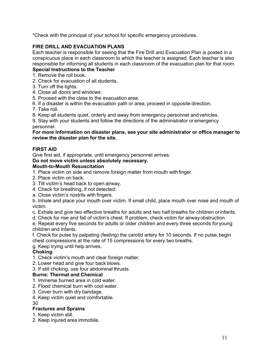\*Check with the principal of your school for specific emergency procedures.

#### **FIRE DRILL AND EVACUATION PLANS**

Each teacher is responsible for seeing that the Fire Drill and Evacuation Plan is posted in a conspicuous place in each classroom to which the teacher is assigned. Each teacher is also responsible for informing all students in each classroom of the evacuation plan for that room.

#### **Special Instructions to the Teacher**

- 1. Remove the roll book.
- 2. Check for evacuation of all students.
- 3. Turn off the lights.
- 4. Close all doors and windows.
- 5. Proceed with the class to the evacuation area.
- 6. If a disaster is within the evacuation path or area, proceed in opposite direction.
- 7. Take roll.
- 8. Keep all students quiet, orderly and away from emergency personnel andvehicles.

9. Stay with your students and follow the directions of the administrator or emergency personnel.

#### **For more information on disaster plans, see your site administrator or office manager to review the disaster plan for the site.**

#### **FIRST AID**

Give first aid, if appropriate, until emergency personnel arrives.

#### **Do not move victim unless absolutely necessary.**

#### **Mouth-to-Mouth Resuscitation**

- 1. Place victim on side and remove foreign matter from mouth withfinger.
- 2. Place victim on back.
- 3. Tilt victim's head back to open airway.
- 4. Check for breathing, if not detected:
- a. Close victim's nostrils with fingers.

b. Inhale and place your mouth over victim. If small child, place mouth over nose and mouth of victim.

- c. Exhale and give two effective breaths for adults and two half breaths for children orinfants.
- d. Check for rise and fall of victim's chest. If problem, check victim for airwayobstruction.

e. Repeat every five seconds for adults or older children and every three seconds for young children and infants.

f. Check for pulse by palpating (feeling) the carotid artery for 10 seconds. If no pulse,begin chest compressions at the rate of 15 compressions for every two breaths.

g. Keep trying until help arrives.

#### **Choking**

- 1. Check victim's mouth and clear foreign matter.
- 2. Lower head and give four back blows.
- 3. If still choking, use four abdominal thrusts.

#### **Burns: Thermal and Chemical**

- 1. Immerse burned area in cold water.
- 2. Flood chemical burn with cool water.
- 3. Cover burn with dry bandage.
- 4. Keep victim quiet and comfortable.

30

#### **Fractures and Sprains**

- 1. Keep victim still.
- 2. Keep injured area immobile.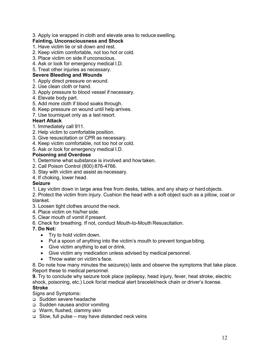3. Apply ice wrapped in cloth and elevate area to reduce swelling.

#### **Fainting, Unconsciousness and Shock**

- 1. Have victim lie or sit down and rest.
- 2. Keep victim comfortable, not too hot or cold.
- 3. Place victim on side if unconscious.
- 4. Ask or look for emergency medical I.D.
- 5. Treat other injuries as necessary.

#### **Severe Bleeding and Wounds**

- 1. Apply direct pressure on wound.
- 2. Use clean cloth or hand.
- 3. Apply pressure to blood vessel if necessary.
- 4. Elevate body part.
- 5. Add more cloth if blood soaks through.
- 6. Keep pressure on wound until help arrives.
- 7. Use tourniquet only as a last resort.

#### **Heart Attack**

- 1. Immediately call 911.
- 2. Help victim to comfortable position.
- 3. Give resuscitation or CPR as necessary.
- 4. Keep victim comfortable, not too hot or cold.
- 5. Ask or look for emergency medical I.D.

#### **Poisoning and Overdose**

- 1. Determine what substance is involved and how taken.
- 2. Call Poison Control (800) 876-4766.
- 3. Stay with victim and assist as necessary.
- 4. If choking, lower head.

#### **Seizure**

- 1. Lay victim down in large area free from desks, tables, and any sharp or hardobjects.
- 2. Protect the victim from injury. Cushion the head with a soft object such as a pillow, coat or blanket.
- 3. Loosen tight clothes around the neck.
- 4. Place victim on his/her side.
- 5. Clear mouth of vomit if present.
- 6. Check for breathing. If not, conduct Mouth-to-Mouth Resuscitation.

#### **7. Do Not:**

- Try to hold victim down.
- Put a spoon of anything into the victim's mouth to prevent tongue biting.
- Give victim anything to eat or drink.
- Give victim any medication unless advised by medical personnel.
- Throw water on victim's face.

8. Do note how many minutes the seizure(s) lasts and observe the symptoms that take place. Report these to medical personnel.

**9.** Try to conclude why seizure took place (epilepsy, head injury, fever, heat stroke, electric shock, poisoning, etc.) Look for/at medical alert bracelet/neck chain or driver's license. **Stroke**

#### Signs and Symptoms:

- q Sudden severe headache
- □ Sudden nausea and/or vomiting
- q Warm, flushed, clammy skin
- $\Box$  Slow, full pulse may have distended neck veins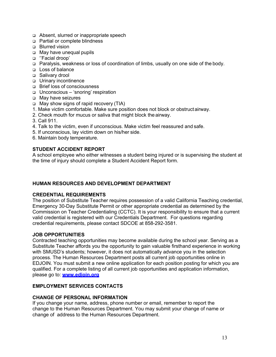- q Absent, slurred or inappropriate speech
- □ Partial or complete blindness
- q Blurred vision
- □ May have unequal pupils
- □ "Facial droop'
- q Paralysis, weakness or loss of coordination of limbs, usually on one side of the body.
- q Loss of balance
- □ Salivary drool
- q Urinary incontinence
- q Brief loss of consciousness
- q Unconscious 'snoring' respiration
- q May have seizures
- □ May show signs of rapid recovery (TIA)
- 1. Make victim comfortable. Make sure position does not block or obstructairway.
- 2. Check mouth for mucus or saliva that might block the airway.
- 3. Call 911.
- 4. Talk to the victim, even if unconscious. Make victim feel reassured and safe.
- 5. If unconscious, lay victim down on his/her side.
- 6. Maintain body temperature.

#### **STUDENT ACCIDENT REPORT**

A school employee who either witnesses a student being injured or is supervising the student at the time of injury should complete a Student Accident Report form.

#### **HUMAN RESOURCES AND DEVELOPMENT DEPARTMENT**

#### **CREDENTIAL REQUIREMENTS**

The position of Substitute Teacher requires possession of a valid California Teaching credential, Emergency 30-Day Substitute Permit or other appropriate credential as determined by the Commission on Teacher Credentialing (CCTC). It is your responsibility to ensure that a current valid credential is registered with our Credentials Department. For questions regarding credential requirements, please contact SDCOE at 858-292-3581.

#### **JOB OPPORTUNITIES**

Contracted teaching opportunities may become available during the school year. Serving as a Substitute Teacher affords you the opportunity to gain valuable firsthand experience in working with SMUSD's students; however, it does not automatically advance you in the selection process. The Human Resources Department posts all current job opportunities online in EDJOIN. You must submit a new online application for each position posting for which you are qualified. For a complete listing of all current job opportunities and application information, please go to: **www.edjoin.org**

#### **EMPLOYMENT SERVICES CONTACTS**

#### **CHANGE OF PERSONAL INFORMATION**

If you change your name, address, phone number or email, remember to report the change to the Human Resources Department. You may submit your change of name or change of address to the Human Resources Department.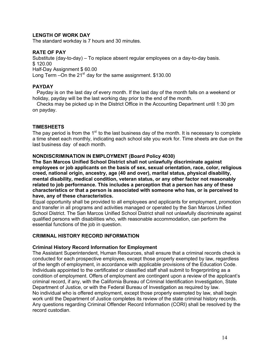#### **LENGTH OF WORK DAY**

The standard workday is 7 hours and 30 minutes.

#### **RATE OF PAY**

Substitute (day-to-day) – To replace absent regular employees on a day-to-day basis. \$ 120.00 Half-Day Assignment \$ 60.00 Long Term –On the  $21^{st}$  day for the same assignment. \$130.00

#### **PAYDAY**

Payday is on the last day of every month. If the last day of the month falls on a weekend or holiday, payday will be the last working day prior to the end of the month.

Checks may be picked up in the District Office in the Accounting Department until 1:30 pm on payday.

#### **TIMESHEETS**

The pay period is from the  $1<sup>st</sup>$  to the last business day of the month. It is necessary to complete a time sheet each monthly, indicating each school site you work for. Time sheets are due on the last business day of each month.

#### **NONDISCRIMINATION IN EMPLOYMENT (Board Policy 4030)**

**The San Marcos Unified School District shall not unlawfully discriminate against employees or job applicants on the basis of sex, sexual orientation, race, color, religious creed, national origin, ancestry, age (40 and over), marital status, physical disability, mental disability, medical condition, veteran status, or any other factor not reasonably related to job performance. This includes a perception that a person has any of these characteristics or that a person is associated with someone who has, or is perceived to have, any of these characteristics.**

Equal opportunity shall be provided to all employees and applicants for employment, promotion and transfer in all programs and activities managed or operated by the San Marcos Unified School District. The San Marcos Unified School District shall not unlawfully discriminate against qualified persons with disabilities who, with reasonable accommodation, can perform the essential functions of the job in question.

#### **CRIMINAL HISTORY RECORD INFORMATION**

#### **Criminal History Record Information for Employment**

The Assistant Superintendent, Human Resources, shall ensure that a criminal records check is conducted for each prospective employee, except those properly exempted by law, regardless of the length of employment, in accordance with applicable provisions of the Education Code. Individuals appointed to the certificated or classified staff shall submit to fingerprinting as a condition of employment. Offers of employment are contingent upon a review of the applicant's criminal record, if any, with the California Bureau of Criminal Identification Investigation, State Department of Justice, or with the Federal Bureau of Investigation as required by law. No individual who is offered employment, except those properly exempted by law, shall begin work until the Department of Justice completes its review of the state criminal history records. Any questions regarding Criminal Offender Record Information (CORI) shall be resolved by the record custodian.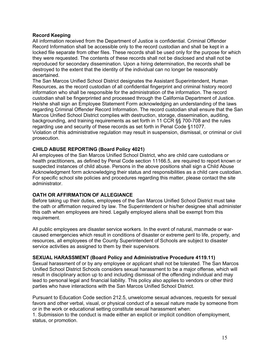#### **Record Keeping**

All information received from the Department of Justice is confidential. Criminal Offender Record Information shall be accessible only to the record custodian and shall be kept in a locked file separate from other files. These records shall be used only for the purpose for which they were requested. The contents of these records shall not be disclosed and shall not be reproduced for secondary dissemination. Upon a hiring determination, the records shall be destroyed to the extent that the identity of the individual can no longer be reasonably ascertained.

The San Marcos Unified School District designates the Assistant Superintendent, Human Resources, as the record custodian of all confidential fingerprint and criminal history record information who shall be responsible for the administration of the information. The record custodian shall be fingerprinted and processed through the California Department of Justice. He/she shall sign an Employee Statement Form acknowledging an understanding of the laws regarding Criminal Offender Record Information. The record custodian shall ensure that the San Marcos Unified School District complies with destruction, storage, dissemination, auditing, backgrounding, and training requirements as set forth in 11 CCR §§ 700-708 and the rules regarding use and security of these records as set forth in Penal Code §11077. Violation of this administrative regulation may result in suspension, dismissal, or criminal or civil prosecution.

#### **CHILD ABUSE REPORTING (Board Policy 4021)**

All employees of the San Marcos Unified School District, who are child care custodians or health practitioners, as defined by Penal Code section 11166.5, are required to report known or suspected instances of child abuse. Persons in the above positions shall sign a Child Abuse Acknowledgment form acknowledging their status and responsibilities as a child care custodian. For specific school site policies and procedures regarding this matter, please contact the site administrator.

#### **OATH OR AFFIRMATION OF ALLEGIANCE**

Before taking up their duties, employees of the San Marcos Unified School District must take the oath or affirmation required by law. The Superintendent or his/her designee shall administer this oath when employees are hired. Legally employed aliens shall be exempt from this requirement.

All public employees are disaster service workers. In the event of natural, manmade or warcaused emergencies which result in conditions of disaster or extreme peril to life, property, and resources, all employees of the County Superintendent of Schools are subject to disaster service activities as assigned to them by their supervisors.

#### **SEXUAL HARASSMENT (Board Policy and Administrative Procedure 4119.11)**

Sexual harassment of or by any employee or applicant shall not be tolerated. The San Marcos Unified School District Schools considers sexual harassment to be a major offense, which will result in disciplinary action up to and including dismissal of the offending individual and may lead to personal legal and financial liability. This policy also applies to vendors or other third parties who have interactions with the San Marcos Unified School District.

Pursuant to Education Code section 212.5, unwelcome sexual advances, requests for sexual favors and other verbal, visual, or physical conduct of a sexual nature made by someone from or in the work or educational setting constitute sexual harassment when:

1. Submission to the conduct is made either an explicit or implicit condition ofemployment, status, or promotion.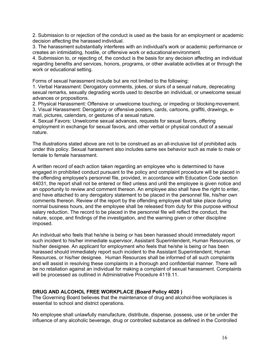2. Submission to or rejection of the conduct is used as the basis for an employment or academic decision affecting the harassed individual.

3. The harassment substantially interferes with an individual's work or academic performance or creates an intimidating, hostile, or offensive work or educationalenvironment.

4. Submission to, or rejecting of, the conduct is the basis for any decision affecting an individual regarding benefits and services, honors, programs, or other available activities at or through the work or educational setting.

Forms of sexual harassment include but are not limited to the following:

1. Verbal Harassment: Derogatory comments, jokes, or slurs of a sexual nature, deprecating sexual remarks, sexually degrading words used to describe an individual, or unwelcome sexual advances or propositions.

2. Physical Harassment: Offensive or unwelcome touching, or impeding or blocking movement. 3. Visual Harassment: Derogatory or offensive posters, cards, cartoons, graffiti, drawings, email, pictures, calendars, or gestures of a sexual nature.

4. Sexual Favors: Unwelcome sexual advances, requests for sexual favors, offering employment in exchange for sexual favors, and other verbal or physical conduct of a sexual nature.

The illustrations stated above are not to be construed as an all-inclusive list of prohibited acts under this policy. Sexual harassment also includes same sex behavior such as male to male or female to female harassment.

A written record of each action taken regarding an employee who is determined to have engaged in prohibited conduct pursuant to the policy and complaint procedure will be placed in the offending employee's personnel file, provided, in accordance with Education Code section 44031, the report shall not be entered or filed unless and until the employee is given notice and an opportunity to review and comment thereon. An employee also shall have the right to enter, and have attached to any derogatory statement to be placed in the personnel file, his/her own comments thereon. Review of the report by the offending employee shall take place during normal business hours, and the employee shall be released from duty for this purpose without salary reduction. The record to be placed in the personnel file will reflect the conduct, the nature, scope, and findings of the investigation, and the warning given or other discipline imposed.

An individual who feels that he/she is being or has been harassed should immediately report such incident to his/her immediate supervisor, Assistant Superintendent, Human Resources, or his/her designee. An applicant for employment who feels that he/she is being or has been harassed should immediately report such incident to the Assistant Superintendent, Human Resources, or his/her designee. Human Resources shall be informed of all such complaints and will assist in resolving these complaints in a thorough and confidential manner. There will be no retaliation against an individual for making a complaint of sexual harassment. Complaints will be processed as outlined in Administrative Procedure 4119.11.

#### **DRUG AND ALCOHOL FREE WORKPLACE (Board Policy 4020 )**

The Governing Board believes that the maintenance of drug and alcohol-free workplaces is essential to school and district operations.

No employee shall unlawfully manufacture, distribute, dispense, possess, use or be under the influence of any alcoholic beverage, drug or controlled substance as defined in the Controlled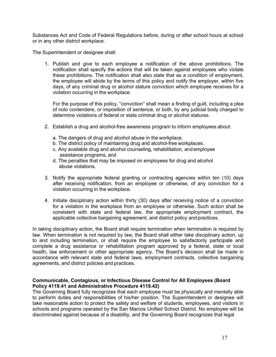Substances Act and Code of Federal Regulations before, during or after school hours at school or in any other district workplace.

The Superintendent or designee shall:

1. Publish and give to each employee a notification of the above prohibitions. The notification shall specify the actions that will be taken against employees who violate these prohibitions. The notification shall also state that as a condition of employment, the employee will abide by the terms of this policy and notify the employer, within five days, of any criminal drug or alcohol stature conviction which employee receives for a violation occurring in the workplace.

For the purpose of this policy, "conviction" shall mean a finding of guilt, including a plea of nolo contendere, or imposition of sentence, or both, by any judicial body charged to determine violations of federal or state criminal drug or alcohol statures.

- 2. Establish a drug and alcohol-free awareness program to inform employees about:
	- a. The dangers of drug and alcohol abuse in the workplace.
	- b. The district policy of maintaining drug and alcohol-free workplaces.
	- c. Any available drug and alcohol counseling, rehabilitation, and employee assistance programs, and
	- d. The penalties that may be imposed on employees for drug and alcohol abuse violations.
- 3. Notify the appropriate federal granting or contracting agencies within ten (10) days after receiving notification, from an employee or otherwise, of any conviction for a violation occurring in the workplace.
- 4. Initiate disciplinary action within thirty (30) days after receiving notice of a conviction for a violation in the workplace from an employee or otherwise. Such action shall be consistent with state and federal law, the appropriate employment contract, the applicable collective bargaining agreement, and district policy and practices.

In taking disciplinary action, the Board shall require termination when termination is required by law. When termination is not required by law, the Board shall either take disciplinary action, up to and including termination, or shall require the employee to satisfactorily participate and complete a drug assistance or rehabilitation program approved by a federal, state or local health, law enforcement or other appropriate agency. The Board's decision shall be made in accordance with relevant state and federal laws, employment contracts, collective bargaining agreements, and district policies and practices.

#### **Communicable, Contagious, or Infectious Disease Control for All Employees (Board Policy 4119.41 and Administrative Procedure 4119.42)**

The Governing Board fully recognizes that each employee must be physically and mentally able to perform duties and responsibilities of his/her position. The Superintendent or designee will take reasonable action to protect the safety and welfare of students, employees, and visitors in schools and programs operated by the San Marcos Unified School District. No employee will be discriminated against because of a disability, and the Governing Board recognizes that legal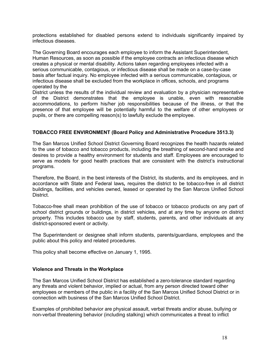protections established for disabled persons extend to individuals significantly impaired by infectious diseases.

The Governing Board encourages each employee to inform the Assistant Superintendent, Human Resources, as soon as possible if the employee contracts an infectious disease which creates a physical or mental disability. Actions taken regarding employees infected with a serious communicable, contagious, or infectious disease shall be made on a case-by-case basis after factual inquiry. No employee infected with a serious communicable, contagious, or infectious disease shall be excluded from the workplace in offices, schools, and programs operated by the

District unless the results of the individual review and evaluation by a physician representative of the District demonstrates that the employee is unable, even with reasonable accommodations, to perform his/her job responsibilities because of the illness, or that the presence of that employee will be potentially harmful to the welfare of other employees or pupils, or there are compelling reason(s) to lawfully exclude the employee.

#### **TOBACCO FREE ENVIRONMENT (Board Policy and Administrative Procedure 3513.3)**

The San Marcos Unified School District Governing Board recognizes the health hazards related to the use of tobacco and tobacco products, including the breathing of second-hand smoke and desires to provide a healthy environment for students and staff. Employees are encouraged to serve as models for good health practices that are consistent with the district's instructional programs.

Therefore, the Board, in the best interests of the District, its students, and its employees, and in accordance with State and Federal laws*,* requires the district to be tobacco-free in all district buildings, facilities, and vehicles owned, leased or operated by the San Marcos Unified School District.

Tobacco-free shall mean prohibition of the use of tobacco or tobacco products on any part of school district grounds or buildings, in district vehicles, and at any time by anyone on district property. This includes tobacco use by staff, students, parents, and other individuals at any district-sponsored event or activity.

The Superintendent or designee shall inform students, parents/guardians, employees and the public about this policy and related procedures.

This policy shall become effective on January 1, 1995.

#### **Violence and Threats in the Workplace**

The San Marcos Unified School District has established a zero-tolerance standard regarding any threats and violent behavior, implied or actual, from any person directed toward other employees or members of the public in a facility of the San Marcos Unified School District or in connection with business of the San Marcos Unified School District.

Examples of prohibited behavior are physical assault, verbal threats and/or abuse, bullying or non-verbal threatening behavior (including stalking) which communicates a threat to inflict